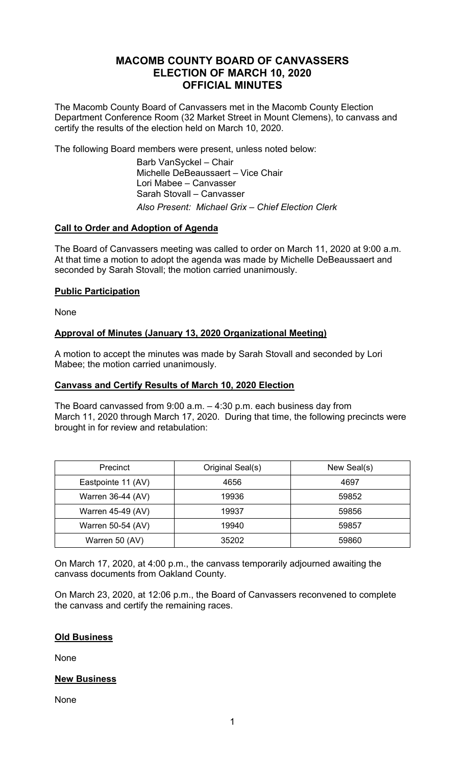# **MACOMB COUNTY BOARD OF CANVASSERS ELECTION OF MARCH 10, 2020 OFFICIAL MINUTES**

The Macomb County Board of Canvassers met in the Macomb County Election Department Conference Room (32 Market Street in Mount Clemens), to canvass and certify the results of the election held on March 10, 2020.

The following Board members were present, unless noted below:

 Barb VanSyckel – Chair Michelle DeBeaussaert – Vice Chair Lori Mabee – Canvasser Sarah Stovall – Canvasser *Also Present: Michael Grix – Chief Election Clerk* 

## **Call to Order and Adoption of Agenda**

The Board of Canvassers meeting was called to order on March 11, 2020 at 9:00 a.m. At that time a motion to adopt the agenda was made by Michelle DeBeaussaert and seconded by Sarah Stovall; the motion carried unanimously.

## **Public Participation**

None

## **Approval of Minutes (January 13, 2020 Organizational Meeting)**

A motion to accept the minutes was made by Sarah Stovall and seconded by Lori Mabee; the motion carried unanimously.

#### **Canvass and Certify Results of March 10, 2020 Election**

The Board canvassed from 9:00 a.m. – 4:30 p.m. each business day from March 11, 2020 through March 17, 2020. During that time, the following precincts were brought in for review and retabulation:

| Precinct           | Original Seal(s) | New Seal(s) |
|--------------------|------------------|-------------|
| Eastpointe 11 (AV) | 4656             | 4697        |
| Warren 36-44 (AV)  | 19936            | 59852       |
| Warren 45-49 (AV)  | 19937            | 59856       |
| Warren 50-54 (AV)  | 19940            | 59857       |
| Warren 50 (AV)     | 35202            | 59860       |

On March 17, 2020, at 4:00 p.m., the canvass temporarily adjourned awaiting the canvass documents from Oakland County.

On March 23, 2020, at 12:06 p.m., the Board of Canvassers reconvened to complete the canvass and certify the remaining races.

#### **Old Business**

None

#### **New Business**

None